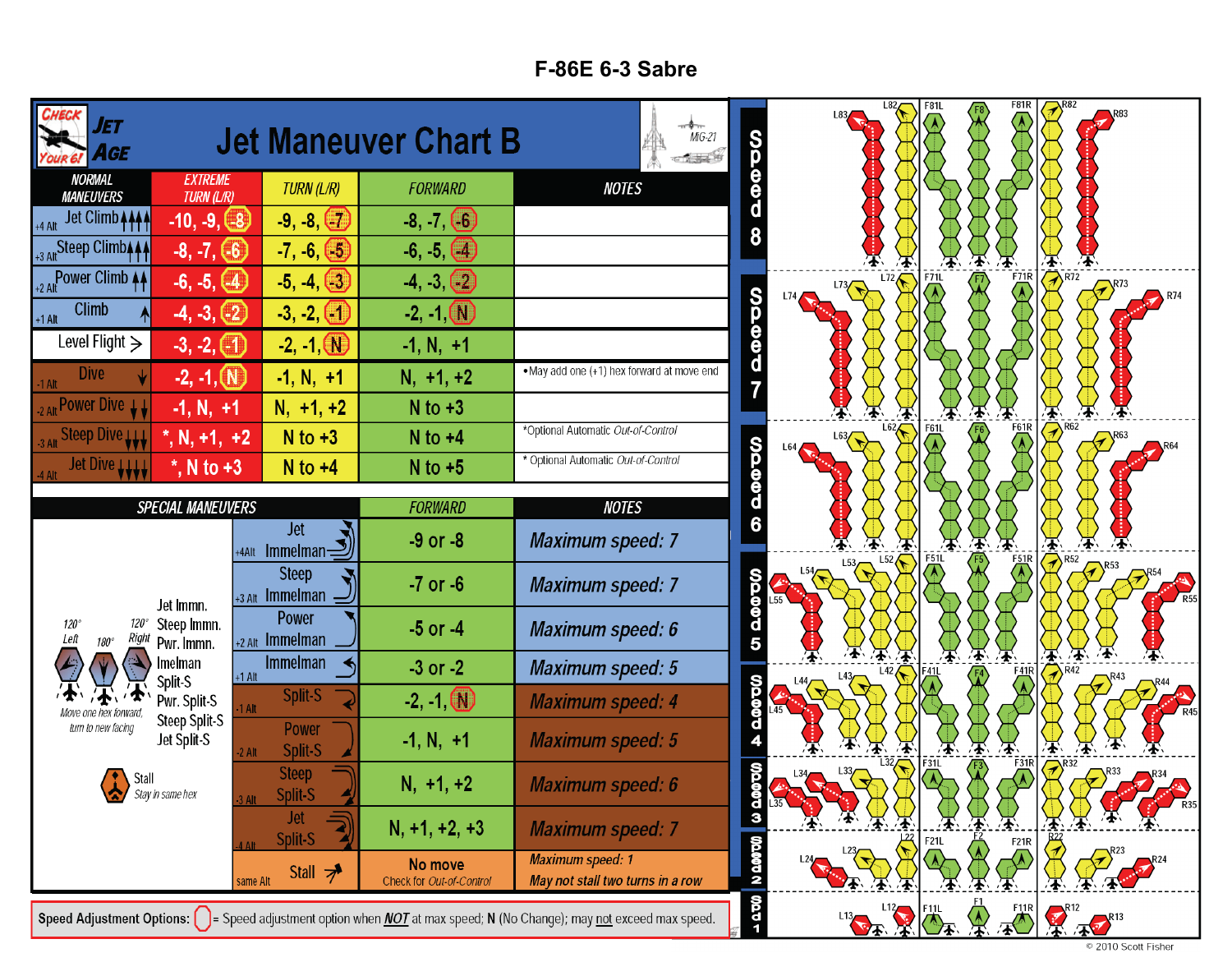## **F-86E 6-3 Sabre**

| ΙΕΤ<br>AGE                                                 |                                      |                                                                                                                                                                | <b>Jet Maneuver Chart B</b>         | $MiG-21$<br>在底盖上的                                                                                                                                                                                                              |               |                      | F81L        | <b>F81R</b><br>$\binom{F8}{1}$                                                     | <b>R82</b>                                            |                                                 |
|------------------------------------------------------------|--------------------------------------|----------------------------------------------------------------------------------------------------------------------------------------------------------------|-------------------------------------|--------------------------------------------------------------------------------------------------------------------------------------------------------------------------------------------------------------------------------|---------------|----------------------|-------------|------------------------------------------------------------------------------------|-------------------------------------------------------|-------------------------------------------------|
| <b>NORMAL</b><br><b>MANEUVERS</b>                          | <b>EXTREME</b><br><b>TURN (L/R)</b>  | TURN (L/R)                                                                                                                                                     | <b>FORWARD</b>                      | <b>NOTES</b>                                                                                                                                                                                                                   |               |                      |             |                                                                                    |                                                       |                                                 |
| Jet Climb + + +                                            | $-10, -9, -8$                        | $-9, -8, (-7)$                                                                                                                                                 | $-8, -7, (-6)$                      |                                                                                                                                                                                                                                |               |                      |             |                                                                                    |                                                       |                                                 |
| +3 Alt Steep Climb <sub>444</sub>                          | $-8, -7, (-6)$                       | $-7, -6, (-5)$                                                                                                                                                 | $-6, -5, (4)$                       |                                                                                                                                                                                                                                |               |                      |             |                                                                                    | 墨                                                     |                                                 |
| +2 Alt Power Climb 44                                      | $-6, -5, (-4)$                       | $-5, -4, (-3)$                                                                                                                                                 | $-4, -3, (2)$                       |                                                                                                                                                                                                                                |               | L72<br>L73<br>L74    | <b>F71L</b> | $\overline{\langle\!\!\langle\!\!\langle\!\!\langle\rangle\!\!\rangle}^{\rm F71R}$ | $\left(\frac{1}{\sqrt{2}}\right)^{R/2}$               | R74                                             |
| Climb<br>$+1$ Alt                                          | $-4, -3, (-2)$                       | $-3, -2,$                                                                                                                                                      | $-2, -1$ (N)                        |                                                                                                                                                                                                                                | <b>99999</b>  |                      |             |                                                                                    |                                                       |                                                 |
| Level Flight $\geq$                                        | $-3, -2, (-1)$                       | $-2, -1, $                                                                                                                                                     | $-1, N, +1$                         |                                                                                                                                                                                                                                |               |                      |             |                                                                                    |                                                       |                                                 |
| <b>Dive</b>                                                | $-2, -1, (N)$                        | $-1, N, +1$                                                                                                                                                    | $N, +1, +2$                         | . May add one (+1) hex forward at move end                                                                                                                                                                                     |               |                      |             |                                                                                    |                                                       |                                                 |
| 2 Alt Power Dive LL                                        | $-1, N, +1$                          | $N, +1, +2$                                                                                                                                                    | $N$ to $+3$                         |                                                                                                                                                                                                                                |               | L62 <sub>6</sub>     |             |                                                                                    | 堡                                                     |                                                 |
| Steep Dive W                                               | $, N, +1, +2$                        | $N$ to $+3$                                                                                                                                                    | $N$ to $+4$                         | *Optional Automatic Out-of-Control                                                                                                                                                                                             |               | L64                  | <b>F61L</b> | <b>F61R</b>                                                                        | $\mathcal{D}^{RS}$                                    |                                                 |
| Jet Dive LLLL                                              | $^*$ , N to +3                       | $N$ to $+4$                                                                                                                                                    | $N$ to $+5$                         | * Optional Automatic Out-of-Control                                                                                                                                                                                            | O QOOD        |                      |             |                                                                                    |                                                       |                                                 |
|                                                            | <b>SPECIAL MANEUVERS</b>             |                                                                                                                                                                | <b>FORWARD</b>                      | <b>NOTES</b>                                                                                                                                                                                                                   |               |                      |             |                                                                                    |                                                       |                                                 |
|                                                            |                                      | <b>Jet</b><br>$+4$ Alt Immelman $\supseteq$                                                                                                                    | $-9$ or $-8$                        | <b>Maximum speed: 7</b>                                                                                                                                                                                                        |               | $L_{52}$             | F51L        | ≁                                                                                  |                                                       |                                                 |
|                                                            | Jet Immn.                            | <b>Steep</b><br>$+3$ Alt Immelman                                                                                                                              | $-7$ or $-6$                        | <b>Maximum speed: 7</b>                                                                                                                                                                                                        |               | $\sqrt[1.54]{\cdot}$ |             | $\binom{F51R}{A}$                                                                  | $\left\langle \widehat{\mathcal{P}}\right\rangle$ R52 |                                                 |
| $120^\circ$<br>$120^\circ$<br>Right<br>Left<br>$180^\circ$ | Steep Immn.<br>Pwr. Immn.            | <b>Power</b><br>$+2$ Alt Immelman                                                                                                                              | $-5$ or $-4$                        | Maximum speed: 6                                                                                                                                                                                                               | <b>QUODO</b>  |                      |             |                                                                                    |                                                       |                                                 |
|                                                            | Imelman<br>Split-S                   | <b>Immelman</b><br>$+1$ Alt                                                                                                                                    | $-3$ or $-2$                        | <b>Maximum speed: 5</b>                                                                                                                                                                                                        |               |                      | 承           | 承<br><b>F41R</b>                                                                   | 丕<br>$\mathcal{D}^{R42}$                              | 承<br>$\left( \mathcal{D}^{\mathsf{R43}}\right)$ |
|                                                            | Pwr. Split-S<br><b>Steep Split-S</b> | Split-S<br>1 Alt                                                                                                                                               | $-2, -1$ $N$                        | <b>Maximum speed: 4</b>                                                                                                                                                                                                        | <b>QQQQQ</b>  |                      |             |                                                                                    |                                                       |                                                 |
| turn to new facing                                         | Jet Split-S                          | Power<br>Split-S<br>$-2$ Alt                                                                                                                                   | $-1, N, +1$                         | <b>Maximum speed: 5</b>                                                                                                                                                                                                        |               |                      | 蛋           | ′∱<br>$F_2$ <sub>1R</sub>                                                          | 巫                                                     |                                                 |
| Stall                                                      | Stay in same hex                     | <b>Steep</b><br>Split-S                                                                                                                                        | $N, +1, +2$                         | <b>Maximum speed: 6</b>                                                                                                                                                                                                        | <b>QOQ0</b>   |                      |             | $\binom{F3}{\lambda}$                                                              | $\bigotimes$ <sup>R32</sup>                           | $\mathbb{R}^{R33}$<br>R35                       |
|                                                            |                                      | Jet<br>Split-S                                                                                                                                                 | $N, +1, +2, +3$                     | <b>Maximum speed: 7</b>                                                                                                                                                                                                        | $\frac{d}{3}$ |                      | F21L        | F21R                                                                               |                                                       | 承承 不                                            |
|                                                            |                                      | Stall $\overline{z}$<br>same Alt                                                                                                                               | No move<br>Check for Out-of-Control | <b>Maximum speed: 1</b><br>May not stall two turns in a row                                                                                                                                                                    | N QOOD        |                      |             |                                                                                    |                                                       |                                                 |
|                                                            |                                      | Speed Adjustment Options: $\begin{bmatrix} \ \ \end{bmatrix}$ = Speed adjustment option when <i>NOT</i> at max speed; N (No Change); may not exceed max speed. | $-200$                              | $113$ $112$ $F111$ $F11$ $F11$ $F11$ $F11$ $F11$ $F12$ $F12$ $F12$ $F12$ $F12$ $F12$ $F12$ $F12$ $F12$ $F12$ $F12$ $F12$ $F12$ $F12$ $F12$ $F12$ $F12$ $F12$ $F12$ $F12$ $F12$ $F12$ $F12$ $F12$ $F12$ $F12$ $F12$ $F12$ $F12$ |               |                      |             | <b>F11R</b> R12                                                                    |                                                       |                                                 |

© 2010 Scott Fisher